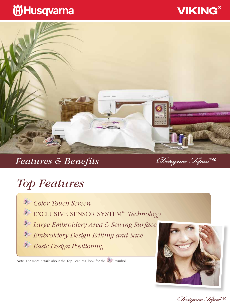## **VIKING®**

## **尚Husqvarna**



### *Features & Benefits*

Designer Topaz<sup>\*40</sup>

## *Top Features*

*Color Touch Screen* EXCLUSIVE SENSOR SYSTEM™ *Technology Large Embroidery Area & Sewing Surface Embroidery Design Editing and Save Basic Design Positioning* 

Note: For more details about the Top Features, look for the symbol.



Designer Topaz<sup>\*\*40</sup>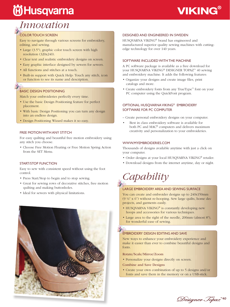# **尚Husqvarna**

## **VIKING®**

### *Innovation*

### COLOR TOUCH SCREEN

Easy to navigate through various screens for embroidery, editing, and sewing.

- Large (3.5"), graphic color touch screen with high resolution (320x240).
- Clear text and realistic embroidery designs on screen.
- Easy graphic interface designed by sewers for sewers.
- All functions and stitches at a touch.
- Built-in support with Quick Help: Touch any stitch, icon or function to see its name and description.

### BASIC DESIGN POSITIONING

Match your embroideries perfectly every time.

- Use the basic Design Positioning feature for perfect placement.
- With basic Design Positioning you can turn any design into an endless design.
- Design Positioning Wizard makes it so easy.

### FREE MOTION WITH ANY STITCH

For easy quilting and beautiful free motion embroidery using any stitch you choose.

• Choose Free Motion Floating or Free Motion Spring Action from the SET Menu.

### START/STOP FUNCTION

Easy to sew with consistent speed without using the foot control.

- Press Start/Stop to begin and to stop sewing.
- Great for sewing rows of decorative stitches, free motion quilting and making buttonholes.
- Ideal for sewers with physical limitations.



### DESIGNED AND ENGINEERED IN SWEDEN

HUSQVARNA VIKING® brand has engineered and manufactured superior quality sewing machines with cuttingedge technology for over 140 years.

### SOFTWARE INCLUDED WITH THE MACHINE

A PC software package is available as a free download for your HUSQVARNA VIKING® DESIGNER TOPAZ™ 40 sewing and embroidery machine. It adds the following features:

- Organize your designs and create image files, print catalogs and more.
- Create embroidery fonts from any TrueType™ font on your PC computer using the QuickFont program.

### OPTIONAL HUSQVARNA VIKING® EMBROIDERY SOFTWARE FOR PC COMPUTER

- Create personal embroidery designs on your computer.
- Best in class embroidery software is available for both PC and MAC® computers and delivers maximum creativity and personalization to your embroideries.

### WWW.MYEMBROIDERIES.COM

Thousands of designs available anytime with just a click on your computer.

- Order designs at your local HUSQVARNA VIKING® retailer.
- Download designs from the internet anytime, day or night.

*Capability*

### LARGE EMBROIDERY AREA AND SEWING SURFACE

You can create and embroider designs up to 240x150mm (9 ½" x 6") without re-hooping. Sew large quilts, home dec projects, and garments easily.

- HUSQVARNA VIKING<sup>®</sup> is constantly developing new hoops and accessories for various techniques.
- Large area to the right of the needle, 200mm (almost 8"), for wonderful ease of sewing.

### EMBROIDERY DESIGN EDITING AND SAVE

New ways to enhance your embroidery experience and make it easier than ever to combine beautiful designs and fonts.

Rotate/Scale/Mirror/Zoom

• Personalize your designs directly on screen.

Combine and Save Designs

• Create your own combination of up to 5 designs and/or fonts and save them in the memory or on a USB-stick.

Designer Topaz\*\*\*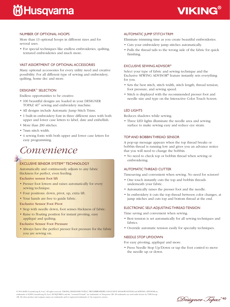# **尚Husqvarna**



### NUMBER OF OPTIONAL HOOPS

More than 13 optional hoops in different sizes and for several uses.

• For special techniques like endless embroideries, quilting, textured embroideries and much more.

### VAST ASSORTMENT OF OPTIONAL ACCESSORIES

Many optional accessories for every utility need and creative possibility. For all different type of sewing and embroidery, quilting, home dec and more.

### DESIGNER™ SELECTION

Endless opportunities to be creative.

- 100 beautiful designs are loaded in your DESIGNER TOPAZ 40™ sewing and embroidery machine.
- All designs include Automatic Jump Stitch Trims.
- 1 built-in embroidery font in three different sizes with both upper and lower case letters to label, date and embellish.
- More than 200 stitches.
- 7mm stitch width.
- 4 sewing fonts with both upper and lower case letters for easy programming.

### *Convenience*

### EXCLUSIVE SENSOR SYSTEM™ TECHNOLOGY

Automatically and continuously adjusts to any fabric thickness for perfect, even feeding.

Exclusive sensor foot lift

- Presser foot lowers and raises automatically for every sewing technique.
- Four positions: down, pivot, up, extra lift.
- Your hands are free to guide fabric.
- Exclusive Sensor Foot Pivot
- Stop with needle down, foot senses thickness of fabric.
- Raise to floating position for instant pivoting, easy appliqué and quilting.
- Exclusive Sensor Foot Pressure
- Always have the perfect presser foot pressure for the fabric you are sewing on.

### AUTOMATIC JUMP STITCH TRIM

Eliminate trimming time as you create beautiful embroideries.

- Cuts your embroidery jump stitches automatically.
- Pulls the thread tails to the wrong side of the fabric for quick finishing.

### EXCLUSIVE SEWING ADVISOR®

Select your type of fabric and sewing technique and the Exclusive SEWING ADVISOR® feature instantly sets everything for you.

- Sets the best stitch, stitch width, stitch length, thread tension, foot pressure, and sewing speed.
- Stitch is displayed with the recommended presser foot and needle size and type on the Interactive Color Touch Screen.

### LED LIGHTS

Reduces shadows while sewing.

• Three LED lights illuminate the needle area and sewing surface to make sewing easy and reduce eye strain.

### TOP AND BOBBIN THREAD SENSOR

A pop-up message appears when the top thread breaks or bobbin thread is running low and gives you an advance notice that you will need to change the bobbin.

• No need to check top or bobbin thread when sewing or embroidering.

### AUTOMATIC THREAD CUTTER

Timesaving and convenient when sewing. No need for scissors!

- One touch instantly cuts the top and bobbin threads underneath your fabric.
- Automatically raises the presser foot and the needle.
- In embroidery it cuts the top thread between color changes, at jump stitches and cuts top and bottom thread at the end.

#### ELECTRONIC SELF-ADJUSTING THREAD TENSION

Time saving and convenient when sewing.

- Best tension is set automatically for all sewing techniques and fabrics.
- Override automatic tension easily for specialty techniques.

### NEEDLE STOP UP/DOWN

For easy pivoting, appliqué and more.

• Press Needle Stop Up/Down or tap the foot control to move the needle up or down.

© 2014 KSIN Luxembourg II, S.ar.l. All rights reserved. VIKING, DESIGNER TOPAZ, TRUEMBROIDERY, EXCLUSIVE SENSOR SYSTEM and SEWING ADVISOR are trademarks of KSIN Luxembourg II, S.ar.l. HUSQVARNA and the "crowned H-mark" are trademarks of Husqvarna AB. All trademarks are used under license by VSM Group AB. All other product and company names are trademarks and/or registered trademarks of the respective owners.

Designer Jopaz<sup>"40</sup>